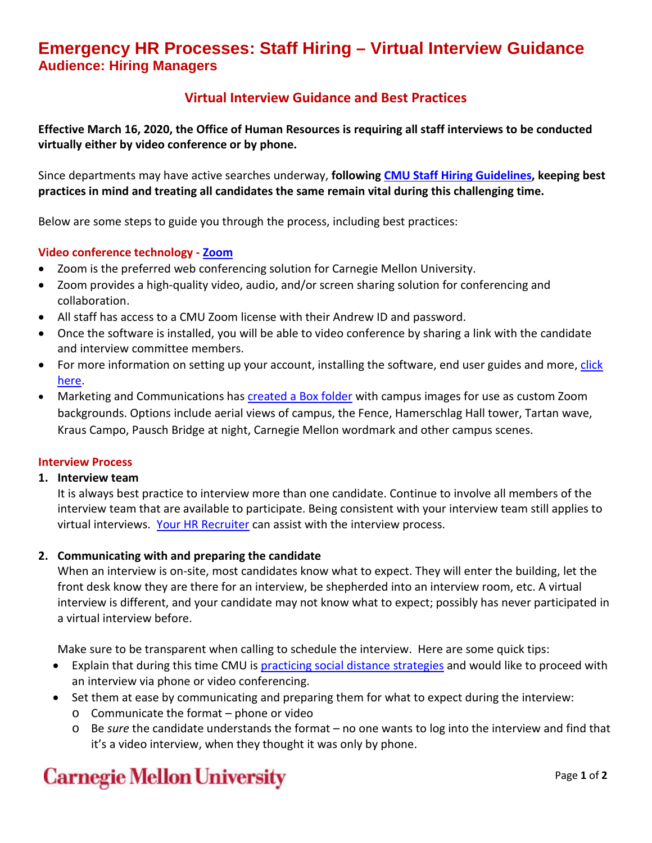## **Emergency HR Processes: Staff Hiring – Virtual Interview Guidance Audience: Hiring Managers**

### **Virtual Interview Guidance and Best Practices**

**Effective March 16, 2020, the Office of Human Resources is requiring all staff interviews to be conducted virtually either by video conference or by phone.**

Since departments may have active searches underway, **followin[g CMU Staff Hiring Guidelines,](https://www.cmu.edu/hr/assets/recruiting/restrict/guidelines-hiring-staff.pdf) keeping best practices in mind and treating all candidates the same remain vital during this challenging time.** 

Below are some steps to guide you through the process, including best practices:

### **Video conference technology - [Zoom](https://www.cmu.edu/computing/services/comm-collab/web-conferencing/zoom/index.html)**

- Zoom is the preferred web conferencing solution for Carnegie Mellon University.
- Zoom provides a high-quality video, audio, and/or screen sharing solution for conferencing and collaboration.
- All staff has access to a CMU Zoom license with their Andrew ID and password.
- Once the software is installed, you will be able to video conference by sharing a link with the candidate and interview committee members.
- For more information on setting up your account, installing the software, end user guides and more, click [here.](https://www.cmu.edu/computing/services/comm-collab/web-conferencing/zoom/index.html)
- Marketing and Communications has **[created a Box folder](https://cmu.app.box.com/s/z9g1stte8u2hqtooulwxa3cf0beiw6d9)** with campus images for use as custom Zoom backgrounds. Options include aerial views of campus, the Fence, Hamerschlag Hall tower, Tartan wave, Kraus Campo, Pausch Bridge at night, Carnegie Mellon wordmark and other campus scenes.

### **Interview Process**

#### **1. Interview team**

It is always best practice to interview more than one candidate. Continue to involve all members of the interview team that are available to participate. Being consistent with your interview team still applies to virtual interviews. [Your HR Recruiter](https://www.cmu.edu/hr/resources/hr-partners/hr-services/hr-managers.html) can assist with the interview process.

### **2. Communicating with and preparing the candidate**

When an interview is on-site, most candidates know what to expect. They will enter the building, let the front desk know they are there for an interview, be shepherded into an interview room, etc. A virtual interview is different, and your candidate may not know what to expect; possibly has never participated in a virtual interview before.

Make sure to be transparent when calling to schedule the interview. Here are some quick tips:

- Explain that during this time CMU is [practicing social distance strategies](https://www.cmu.edu/alert/coronavirus/your-health/index.html#distance) and would like to proceed with an interview via phone or video conferencing.
- Set them at ease by communicating and preparing them for what to expect during the interview:
	- o Communicate the format phone or video
	- o Be *sure* the candidate understands the format no one wants to log into the interview and find that it's a video interview, when they thought it was only by phone.

## **Carnegie Mellon University**